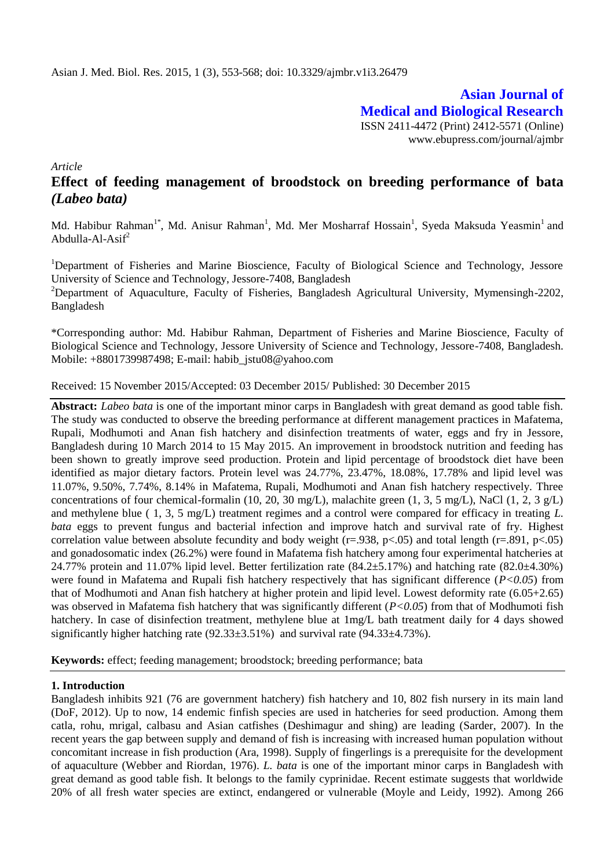**Asian Journal of Medical and Biological Research** ISSN 2411-4472 (Print) 2412-5571 (Online) www.ebupress.com/journal/ajmbr

*Article*

# **Effect of feeding management of broodstock on breeding performance of bata**  *(Labeo bata)*

Md. Habibur Rahman<sup>1\*</sup>, Md. Anisur Rahman<sup>1</sup>, Md. Mer Mosharraf Hossain<sup>1</sup>, Syeda Maksuda Yeasmin<sup>1</sup> and Abdulla-Al-Asi $f^2$ 

<sup>1</sup>Department of Fisheries and Marine Bioscience, Faculty of Biological Science and Technology, Jessore University of Science and Technology, Jessore-7408, Bangladesh

<sup>2</sup>Department of Aquaculture, Faculty of Fisheries, Bangladesh Agricultural University, Mymensingh-2202, Bangladesh

\*Corresponding author: Md. Habibur Rahman, Department of Fisheries and Marine Bioscience, Faculty of Biological Science and Technology, Jessore University of Science and Technology, Jessore-7408, Bangladesh. Mobile: +8801739987498; E-mail: habib\_jstu08@yahoo.com

Received: 15 November 2015/Accepted: 03 December 2015/ Published: 30 December 2015

**Abstract:** *Labeo bata* is one of the important minor carps in Bangladesh with great demand as good table fish. The study was conducted to observe the breeding performance at different management practices in Mafatema, Rupali, Modhumoti and Anan fish hatchery and disinfection treatments of water, eggs and fry in Jessore, Bangladesh during 10 March 2014 to 15 May 2015. An improvement in broodstock nutrition and feeding has been shown to greatly improve seed production. Protein and lipid percentage of broodstock diet have been identified as major dietary factors. Protein level was 24.77%, 23.47%, 18.08%, 17.78% and lipid level was 11.07%, 9.50%, 7.74%, 8.14% in Mafatema, Rupali, Modhumoti and Anan fish hatchery respectively. Three concentrations of four chemical-formalin (10, 20, 30 mg/L), malachite green (1, 3, 5 mg/L), NaCl (1, 2, 3 g/L) and methylene blue ( 1, 3, 5 mg/L) treatment regimes and a control were compared for efficacy in treating *L. bata* eggs to prevent fungus and bacterial infection and improve hatch and survival rate of fry. Highest correlation value between absolute fecundity and body weight ( $r = .938$ ,  $p < .05$ ) and total length ( $r = .891$ ,  $p < .05$ ) and gonadosomatic index (26.2%) were found in Mafatema fish hatchery among four experimental hatcheries at 24.77% protein and 11.07% lipid level. Better fertilization rate  $(84.2 \pm 5.17%)$  and hatching rate  $(82.0 \pm 4.30%)$ were found in Mafatema and Rupali fish hatchery respectively that has significant difference (*P<0.05*) from that of Modhumoti and Anan fish hatchery at higher protein and lipid level. Lowest deformity rate (6.05+2.65) was observed in Mafatema fish hatchery that was significantly different (*P<0.05*) from that of Modhumoti fish hatchery. In case of disinfection treatment, methylene blue at 1mg/L bath treatment daily for 4 days showed significantly higher hatching rate  $(92.33\pm3.51\%)$  and survival rate  $(94.33\pm4.73\%)$ .

**Keywords:** effect; feeding management; broodstock; breeding performance; bata

### **1. Introduction**

Bangladesh inhibits 921 (76 are government hatchery) fish hatchery and 10, 802 fish nursery in its main land (DoF, 2012). Up to now, 14 endemic finfish species are used in hatcheries for seed production. Among them catla, rohu, mrigal, calbasu and Asian catfishes (Deshimagur and shing) are leading (Sarder, 2007). In the recent years the gap between supply and demand of fish is increasing with increased human population without concomitant increase in fish production (Ara, 1998). Supply of fingerlings is a prerequisite for the development of aquaculture (Webber and Riordan, 1976). *L. bata* is one of the important minor carps in Bangladesh with great demand as good table fish. It belongs to the family cyprinidae. Recent estimate suggests that worldwide 20% of all fresh water species are extinct, endangered or vulnerable (Moyle and Leidy, 1992). Among 266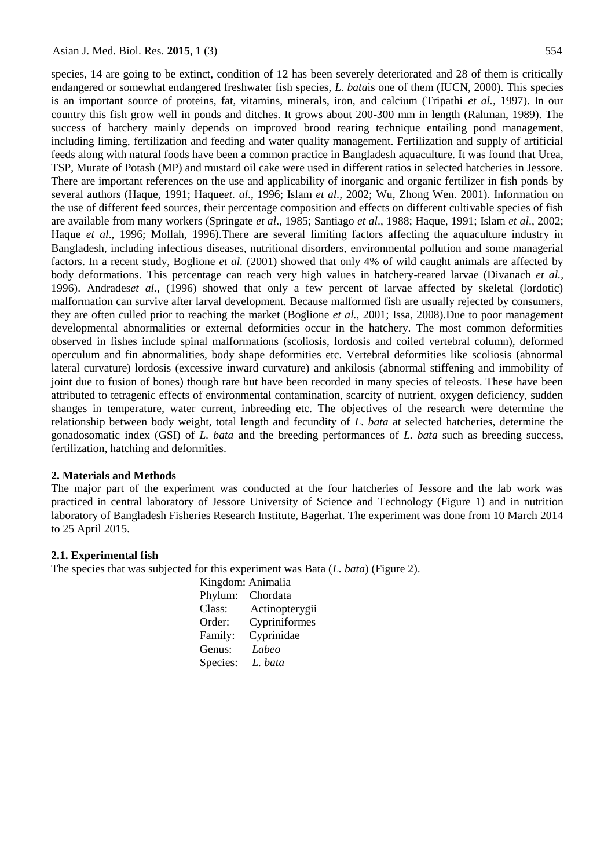species, 14 are going to be extinct, condition of 12 has been severely deteriorated and 28 of them is critically endangered or somewhat endangered freshwater fish species, *L. bata*is one of them (IUCN, 2000). This species is an important source of proteins, fat, vitamins, minerals, iron, and calcium (Tripathi *et al.,* 1997). In our country this fish grow well in ponds and ditches. It grows about 200-300 mm in length (Rahman, 1989). The success of hatchery mainly depends on improved brood rearing technique entailing pond management, including liming, fertilization and feeding and water quality management. Fertilization and supply of artificial feeds along with natural foods have been a common practice in Bangladesh aquaculture. It was found that Urea, TSP, Murate of Potash (MP) and mustard oil cake were used in different ratios in selected hatcheries in Jessore. There are important references on the use and applicability of inorganic and organic fertilizer in fish ponds by several authors (Haque, 1991; Haque*et. al*., 1996; Islam *et al.,* 2002; Wu, Zhong Wen. 2001). Information on the use of different feed sources, their percentage composition and effects on different cultivable species of fish are available from many workers (Springate *et al*., 1985; Santiago *et al*., 1988; Haque, 1991; Islam *et al*., 2002; Haque *et al*., 1996; Mollah, 1996).There are several limiting factors affecting the aquaculture industry in Bangladesh, including infectious diseases, nutritional disorders, environmental pollution and some managerial factors. In a recent study, Boglione *et al.* (2001) showed that only 4% of wild caught animals are affected by body deformations. This percentage can reach very high values in hatchery-reared larvae (Divanach *et al.,* 1996). Andrades*et al.,* (1996) showed that only a few percent of larvae affected by skeletal (lordotic) malformation can survive after larval development. Because malformed fish are usually rejected by consumers, they are often culled prior to reaching the market (Boglione *et al.,* 2001; Issa, 2008).Due to poor management developmental abnormalities or external deformities occur in the hatchery. The most common deformities observed in fishes include spinal malformations (scoliosis, lordosis and coiled vertebral column), deformed operculum and fin abnormalities, body shape deformities etc. Vertebral deformities like scoliosis (abnormal lateral curvature) lordosis (excessive inward curvature) and ankilosis (abnormal stiffening and immobility of joint due to fusion of bones) though rare but have been recorded in many species of teleosts. These have been attributed to tetragenic effects of environmental contamination, scarcity of nutrient, oxygen deficiency, sudden shanges in temperature, water current, inbreeding etc. The objectives of the research were determine the relationship between body weight, total length and fecundity of *L. bata* at selected hatcheries, determine the gonadosomatic index (GSI) of *L. bata* and the breeding performances of *L. bata* such as breeding success, fertilization, hatching and deformities.

#### **2. Materials and Methods**

The major part of the experiment was conducted at the four hatcheries of Jessore and the lab work was practiced in central laboratory of Jessore University of Science and Technology (Figure 1) and in nutrition laboratory of Bangladesh Fisheries Research Institute, Bagerhat. The experiment was done from 10 March 2014 to 25 April 2015.

#### **2.1. Experimental fish**

The species that was subjected for this experiment was Bata (*L. bata*) (Figure 2).

Kingdom: Animalia Phylum: Chordata Class: Actinopterygii Order: Cypriniformes Family: Cyprinidae Genus: *Labeo* Species: *L. bata*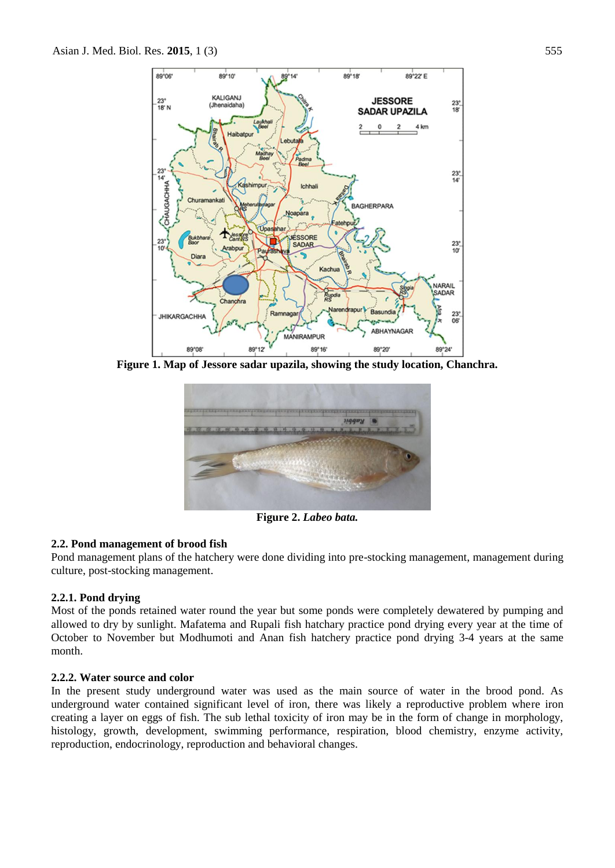

**Figure 1. Map of Jessore sadar upazila, showing the study location, Chanchra.**



**Figure 2.** *Labeo bata.*

### **2.2. Pond management of brood fish**

Pond management plans of the hatchery were done dividing into pre-stocking management, management during culture, post-stocking management.

### **2.2.1. Pond drying**

Most of the ponds retained water round the year but some ponds were completely dewatered by pumping and allowed to dry by sunlight. Mafatema and Rupali fish hatchary practice pond drying every year at the time of October to November but Modhumoti and Anan fish hatchery practice pond drying 3-4 years at the same month.

### **2.2.2. Water source and color**

In the present study underground water was used as the main source of water in the brood pond. As underground water contained significant level of iron, there was likely a reproductive problem where iron creating a layer on eggs of fish. The sub lethal toxicity of iron may be in the form of change in morphology, histology, growth, development, swimming performance, respiration, blood chemistry, enzyme activity, reproduction, endocrinology, reproduction and behavioral changes.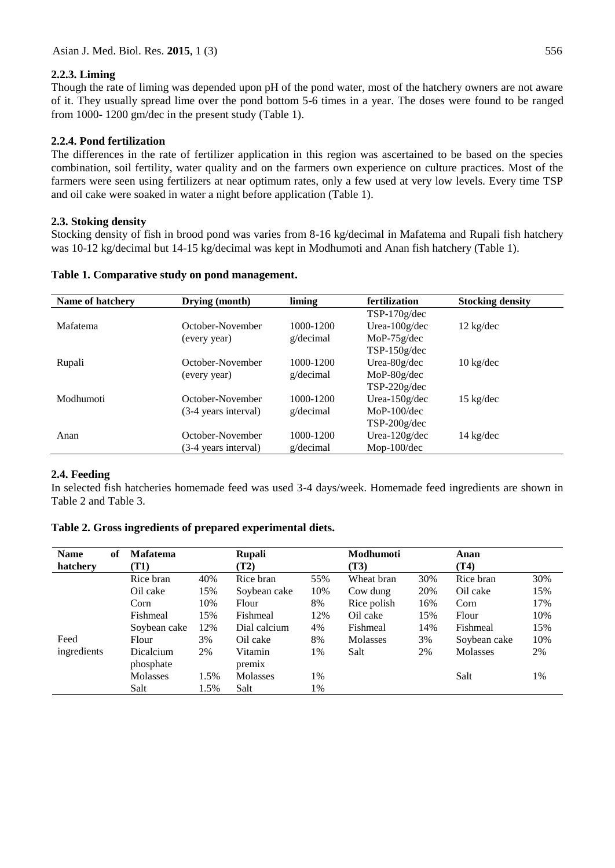## **2.2.3. Liming**

Though the rate of liming was depended upon pH of the pond water, most of the hatchery owners are not aware of it. They usually spread lime over the pond bottom 5-6 times in a year. The doses were found to be ranged from 1000- 1200 gm/dec in the present study (Table 1).

# **2.2.4. Pond fertilization**

The differences in the rate of fertilizer application in this region was ascertained to be based on the species combination, soil fertility, water quality and on the farmers own experience on culture practices. Most of the farmers were seen using fertilizers at near optimum rates, only a few used at very low levels. Every time TSP and oil cake were soaked in water a night before application (Table 1).

# **2.3. Stoking density**

Stocking density of fish in brood pond was varies from 8-16 kg/decimal in Mafatema and Rupali fish hatchery was 10-12 kg/decimal but 14-15 kg/decimal was kept in Modhumoti and Anan fish hatchery (Table 1).

| Name of hatchery | Drying (month)       | liming       | fertilization           | <b>Stocking density</b> |
|------------------|----------------------|--------------|-------------------------|-------------------------|
|                  |                      |              | $TSP-170g/dec$          |                         |
| Mafatema         | October-November     | 1000-1200    | Urea- $100g/\text{dec}$ | $12 \text{ kg/dec}$     |
|                  | (every year)         | g/decimal    | $MoP-75g/dec$           |                         |
|                  |                      |              | $TSP-150g/dec$          |                         |
| Rupali           | October-November     | 1000-1200    | Urea-80g/dec            | $10 \text{ kg/dec}$     |
|                  | (every year)         | g/decimal    | $MoP-80g/dec$           |                         |
|                  |                      |              | $TSP-220g/dec$          |                         |
| Modhumoti        | October-November     | 1000-1200    | Urea-150g/dec           | $15 \text{ kg/dec}$     |
|                  | (3-4 years interval) | $g$ /decimal | $MoP-100/dec$           |                         |
|                  |                      |              | $TSP-200g/dec$          |                         |
| Anan             | October-November     | 1000-1200    | Urea-120g/dec           | $14 \text{ kg/dec}$     |
|                  | (3-4 years interval) | g/decimal    | Mop-100/dec             |                         |
|                  |                      |              |                         |                         |

**Table 1. Comparative study on pond management.**

### **2.4. Feeding**

In selected fish hatcheries homemade feed was used 3-4 days/week. Homemade feed ingredients are shown in Table 2 and Table 3.

|  |  |  |  |  | Table 2. Gross ingredients of prepared experimental diets. |  |
|--|--|--|--|--|------------------------------------------------------------|--|
|--|--|--|--|--|------------------------------------------------------------|--|

| <b>Name</b><br>hatchery | of | <b>Mafatema</b><br>(T1) |      | Rupali<br>(T2) |     | <b>Modhumoti</b><br>(T3) |     | Anan<br>(T4) |     |
|-------------------------|----|-------------------------|------|----------------|-----|--------------------------|-----|--------------|-----|
|                         |    | Rice bran               | 40%  | Rice bran      | 55% | Wheat bran               | 30% | Rice bran    | 30% |
|                         |    | Oil cake                | 15%  | Soybean cake   | 10% | Cow dung                 | 20% | Oil cake     | 15% |
|                         |    | Corn                    | 10%  | Flour          | 8%  | Rice polish              | 16% | Corn         | 17% |
|                         |    | Fishmeal                | 15%  | Fishmeal       | 12% | Oil cake                 | 15% | Flour        | 10% |
|                         |    | Soybean cake            | 12%  | Dial calcium   | 4%  | Fishmeal                 | 14% | Fishmeal     | 15% |
| Feed                    |    | Flour                   | 3%   | Oil cake       | 8%  | Molasses                 | 3%  | Soybean cake | 10% |
| ingredients             |    | Dicalcium               | 2%   | Vitamin        | 1%  | Salt                     | 2%  | Molasses     | 2%  |
|                         |    | phosphate               |      | premix         |     |                          |     |              |     |
|                         |    | Molasses                | 1.5% | Molasses       | 1%  |                          |     | Salt         | 1%  |
|                         |    | Salt                    | 1.5% | Salt           | 1%  |                          |     |              |     |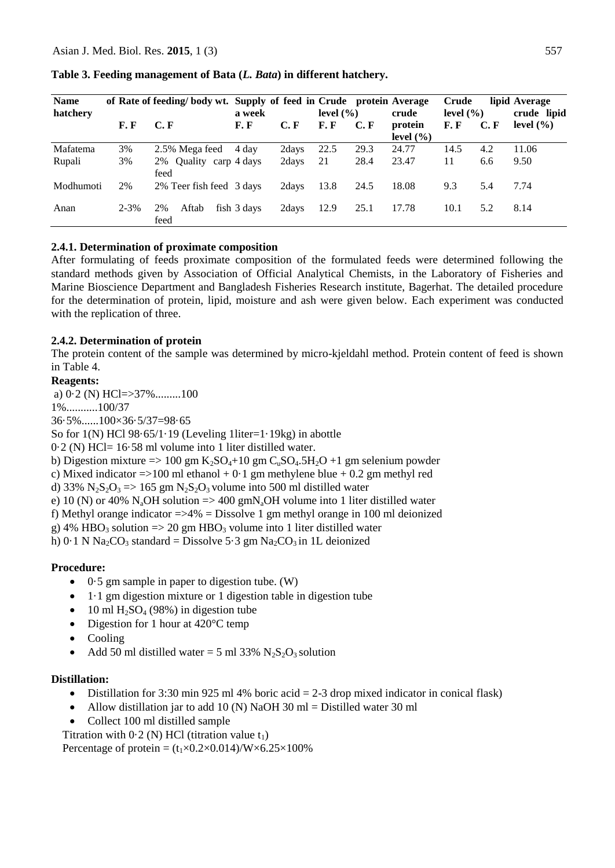| <b>Name</b><br>hatchery |           | of Rate of feeding/body wt. Supply of feed in Crude protein Average | a week      |       | level $(\% )$ |      | crude                    | Crude<br>level $(\% )$ |      | lipid Average<br>crude lipid |
|-------------------------|-----------|---------------------------------------------------------------------|-------------|-------|---------------|------|--------------------------|------------------------|------|------------------------------|
|                         | F.F       | C.F                                                                 | F.F         | C. F  | F.F           | C. F | protein<br>level $(\% )$ | F.F                    | C. F | level $(\% )$                |
| Mafatema                | 3%        | 2.5% Mega feed                                                      | 4 day       | 2days | 22.5          | 29.3 | 24.77                    | 14.5                   | 4.2  | 11.06                        |
| Rupali                  | 3%        | 2% Quality carp 4 days<br>feed                                      |             | 2days | 21            | 28.4 | 23.47                    | 11                     | 6.6  | 9.50                         |
| Modhumoti               | 2%        | 2% Teer fish feed 3 days                                            |             | 2days | 13.8          | 24.5 | 18.08                    | 9.3                    | 5.4  | 7.74                         |
| Anan                    | $2 - 3\%$ | 2%<br>Aftab<br>feed                                                 | fish 3 days | 2days | 12.9          | 25.1 | 17.78                    | 10.1                   | 5.2  | 8.14                         |

**Table 3. Feeding management of Bata (***L. Bata***) in different hatchery.**

# **2.4.1. Determination of proximate composition**

After formulating of feeds proximate composition of the formulated feeds were determined following the standard methods given by Association of Official Analytical Chemists, in the Laboratory of Fisheries and Marine Bioscience Department and Bangladesh Fisheries Research institute, Bagerhat. The detailed procedure for the determination of protein, lipid, moisture and ash were given below. Each experiment was conducted with the replication of three.

# **2.4.2. Determination of protein**

The protein content of the sample was determined by micro-kjeldahl method. Protein content of feed is shown in Table 4.

### **Reagents:**

a)  $0.2$  (N) HCl=>37%.........100 1%...........100/37 36·5%......100×36·5/37=98·65 So for  $1(N)$  HCl  $98.65/1.19$  (Leveling 1liter= $1.19$ kg) in abottle 0·2 (N) HCl= 16·58 ml volume into 1 liter distilled water. b) Digestion mixture => 100 gm K<sub>2</sub>SO<sub>4</sub>+10 gm C<sub>u</sub>SO<sub>4</sub>.5H<sub>2</sub>O +1 gm selenium powder c) Mixed indicator =>100 ml ethanol + 0·1 gm methylene blue + 0.2 gm methyl red d) 33%  $N_2S_2O_3$  => 165 gm  $N_2S_2O_3$  volume into 500 ml distilled water e) 10 (N) or 40% N<sub>a</sub>OH solution => 400 gmN<sub>a</sub>OH volume into 1 liter distilled water f) Methyl orange indicator  $=$   $>$ 4% = Dissolve 1 gm methyl orange in 100 ml deionized g) 4% HBO<sub>3</sub> solution => 20 gm HBO<sub>3</sub> volume into 1 liter distilled water h)  $0.1$  N Na<sub>2</sub>CO<sub>3</sub> standard = Dissolve 5.3 gm Na<sub>2</sub>CO<sub>3</sub> in 1L deionized

# **Procedure:**

- 0·5 gm sample in paper to digestion tube. (W)
- 1·1 gm digestion mixture or 1 digestion table in digestion tube
- 10 ml  $H<sub>2</sub>SO<sub>4</sub>$  (98%) in digestion tube
- Digestion for 1 hour at 420°C temp
- Cooling
- Add 50 ml distilled water = 5 ml 33%  $N_2S_2O_3$  solution

### **Distillation:**

- Distillation for 3:30 min 925 ml 4% boric acid  $= 2-3$  drop mixed indicator in conical flask)
- Allow distillation jar to add 10 (N) NaOH 30 ml = Distilled water 30 ml
- Collect 100 ml distilled sample

Titration with  $0.2$  (N) HCl (titration value  $t_1$ )

Percentage of protein =  $(t_1 \times 0.2 \times 0.014)/W \times 6.25 \times 100\%$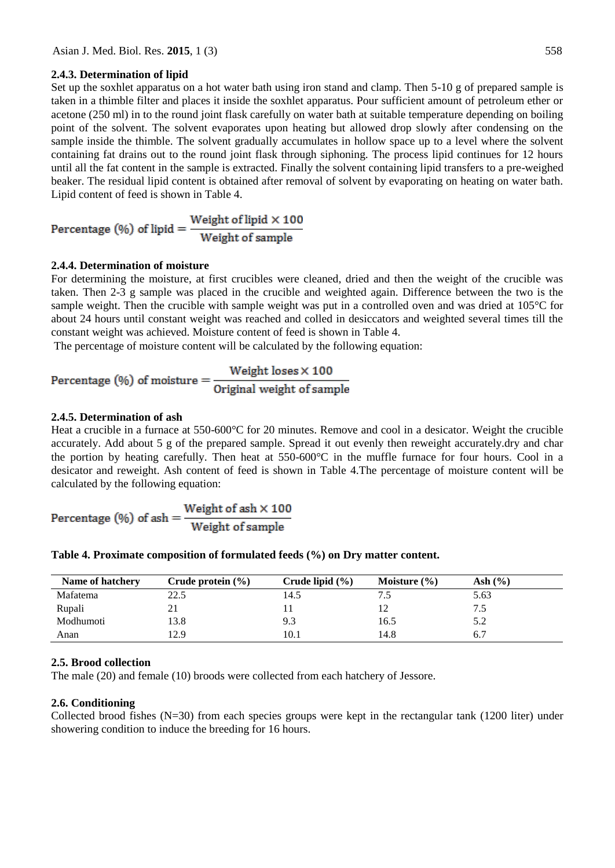#### **2.4.3. Determination of lipid**

Set up the soxhlet apparatus on a hot water bath using iron stand and clamp. Then 5-10 g of prepared sample is taken in a thimble filter and places it inside the soxhlet apparatus. Pour sufficient amount of petroleum ether or acetone (250 ml) in to the round joint flask carefully on water bath at suitable temperature depending on boiling point of the solvent. The solvent evaporates upon heating but allowed drop slowly after condensing on the sample inside the thimble. The solvent gradually accumulates in hollow space up to a level where the solvent containing fat drains out to the round joint flask through siphoning. The process lipid continues for 12 hours until all the fat content in the sample is extracted. Finally the solvent containing lipid transfers to a pre-weighed beaker. The residual lipid content is obtained after removal of solvent by evaporating on heating on water bath. Lipid content of feed is shown in Table 4.

Percentage (%) of lipid =  $\frac{\text{Weight of lipid} \times 100}{\text{Weight of sample}}$ 

#### **2.4.4. Determination of moisture**

For determining the moisture, at first crucibles were cleaned, dried and then the weight of the crucible was taken. Then 2-3 g sample was placed in the crucible and weighted again. Difference between the two is the sample weight. Then the crucible with sample weight was put in a controlled oven and was dried at 105°C for about 24 hours until constant weight was reached and colled in desiccators and weighted several times till the constant weight was achieved. Moisture content of feed is shown in Table 4.

The percentage of moisture content will be calculated by the following equation:

Percentage (%) of moisture = 
$$
\frac{\text{Weight loses} \times 100}{\text{Original weight of sample}}
$$

#### **2.4.5. Determination of ash**

Heat a crucible in a furnace at 550-600°C for 20 minutes. Remove and cool in a desicator. Weight the crucible accurately. Add about 5 g of the prepared sample. Spread it out evenly then reweight accurately.dry and char the portion by heating carefully. Then heat at 550-600°C in the muffle furnace for four hours. Cool in a desicator and reweight. Ash content of feed is shown in Table 4.The percentage of moisture content will be calculated by the following equation:

Percentage (%) of ash =  $\frac{\text{Weight of ash} \times 100}{\text{Weight of sample}}$ 

| Name of hatchery | Crude protein $(\% )$ | Crude lipid $(\% )$ | Moisture $(\% )$ | Ash $(\% )$ |
|------------------|-----------------------|---------------------|------------------|-------------|
| Mafatema         | 22.5                  | 14.5                | 75               | 5.63        |
| Rupali           |                       |                     |                  |             |
| Modhumoti        | 13.8                  | 9.3                 | 16.5             | 5.2         |
| Anan             | 12.9                  | 10.1                | 14.8             | 6.7         |

**Table 4. Proximate composition of formulated feeds (%) on Dry matter content.**

#### **2.5. Brood collection**

The male (20) and female (10) broods were collected from each hatchery of Jessore.

#### **2.6. Conditioning**

Collected brood fishes  $(N=30)$  from each species groups were kept in the rectangular tank (1200 liter) under showering condition to induce the breeding for 16 hours.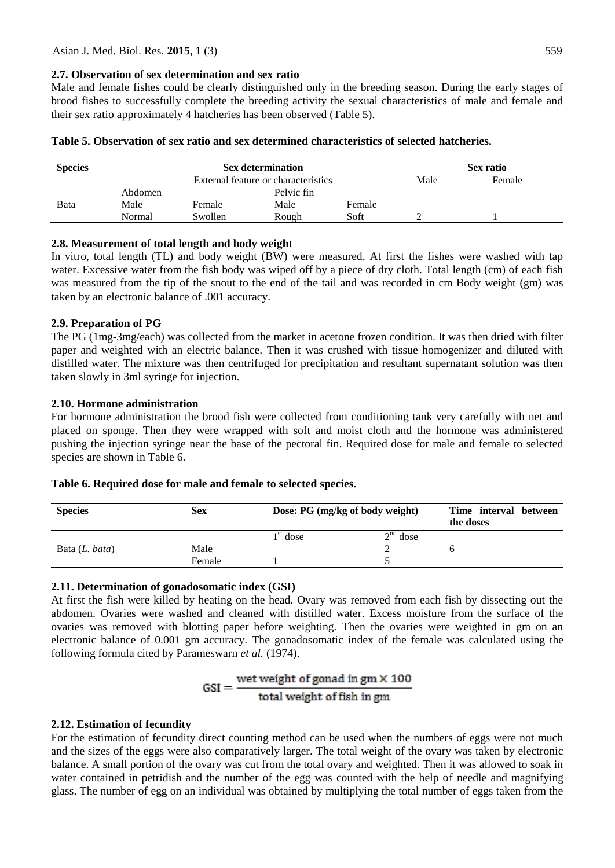### **2.7. Observation of sex determination and sex ratio**

Male and female fishes could be clearly distinguished only in the breeding season. During the early stages of brood fishes to successfully complete the breeding activity the sexual characteristics of male and female and their sex ratio approximately 4 hatcheries has been observed (Table 5).

| <b>Species</b> |         | <b>Sex determination</b> |                                     | Sex ratio |  |        |  |
|----------------|---------|--------------------------|-------------------------------------|-----------|--|--------|--|
|                |         |                          | External feature or characteristics |           |  | Female |  |
|                | Abdomen |                          | Pelvic fin                          |           |  |        |  |
| Bata           | Male    | Female                   | Male                                | Female    |  |        |  |
|                | Normal  | Swollen                  | Rough                               | Soft      |  |        |  |

### **Table 5. Observation of sex ratio and sex determined characteristics of selected hatcheries.**

# **2.8. Measurement of total length and body weight**

In vitro, total length (TL) and body weight (BW) were measured. At first the fishes were washed with tap water. Excessive water from the fish body was wiped off by a piece of dry cloth. Total length (cm) of each fish was measured from the tip of the snout to the end of the tail and was recorded in cm Body weight (gm) was taken by an electronic balance of .001 accuracy.

# **2.9. Preparation of PG**

The PG (1mg-3mg/each) was collected from the market in acetone frozen condition. It was then dried with filter paper and weighted with an electric balance. Then it was crushed with tissue homogenizer and diluted with distilled water. The mixture was then centrifuged for precipitation and resultant supernatant solution was then taken slowly in 3ml syringe for injection.

# **2.10. Hormone administration**

For hormone administration the brood fish were collected from conditioning tank very carefully with net and placed on sponge. Then they were wrapped with soft and moist cloth and the hormone was administered pushing the injection syringe near the base of the pectoral fin. Required dose for male and female to selected species are shown in Table 6.

### **Table 6. Required dose for male and female to selected species.**

| <b>Species</b> | Sex    | Dose: PG (mg/kg of body weight) | Time interval between<br>the doses |  |
|----------------|--------|---------------------------------|------------------------------------|--|
|                |        | $1st$ dose                      | $2nd$ dose                         |  |
| Bata (L. bata) | Male   |                                 |                                    |  |
|                | Female |                                 |                                    |  |

### **2.11. Determination of gonadosomatic index (GSI)**

At first the fish were killed by heating on the head. Ovary was removed from each fish by dissecting out the abdomen. Ovaries were washed and cleaned with distilled water. Excess moisture from the surface of the ovaries was removed with blotting paper before weighting. Then the ovaries were weighted in gm on an electronic balance of 0.001 gm accuracy. The gonadosomatic index of the female was calculated using the following formula cited by Parameswarn *et al.* (1974).

$$
GSI = \frac{\text{wet weight of gonad in gm} \times 100}{\text{total weight of fish in gm}}
$$

### **2.12. Estimation of fecundity**

For the estimation of fecundity direct counting method can be used when the numbers of eggs were not much and the sizes of the eggs were also comparatively larger. The total weight of the ovary was taken by electronic balance. A small portion of the ovary was cut from the total ovary and weighted. Then it was allowed to soak in water contained in petridish and the number of the egg was counted with the help of needle and magnifying glass. The number of egg on an individual was obtained by multiplying the total number of eggs taken from the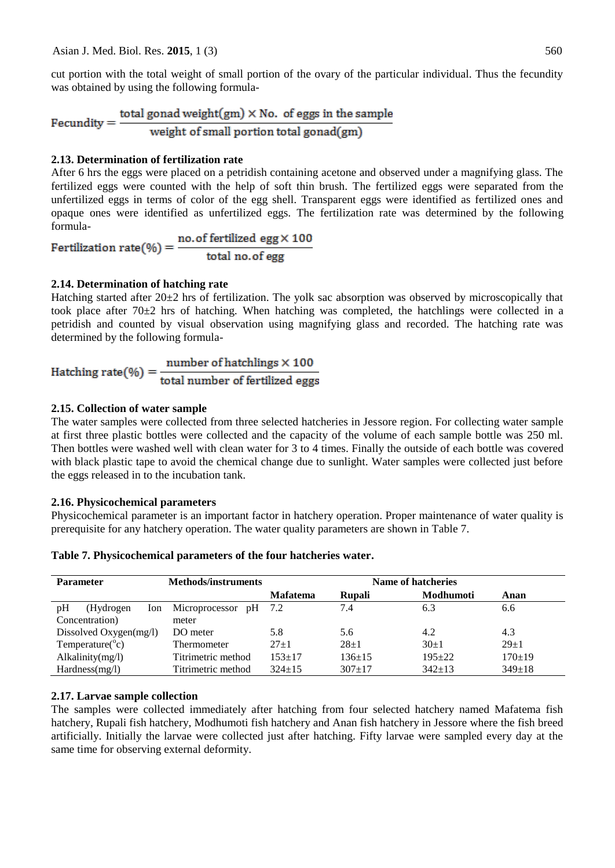Asian J. Med. Biol. Res. 2015, 1 (3) 560

cut portion with the total weight of small portion of the ovary of the particular individual. Thus the fecundity was obtained by using the following formula-

$$
Fecundity = \frac{\text{total gonad weight(gm)} \times \text{No. of eggs in the sample}}{\text{weight of small portion total gonad(gm)}}
$$

#### **2.13. Determination of fertilization rate**

After 6 hrs the eggs were placed on a petridish containing acetone and observed under a magnifying glass. The fertilized eggs were counted with the help of soft thin brush. The fertilized eggs were separated from the unfertilized eggs in terms of color of the egg shell. Transparent eggs were identified as fertilized ones and opaque ones were identified as unfertilized eggs. The fertilization rate was determined by the following

formula-<br>Fertilization rate(%) =  $\frac{\text{no. of fertilized egg} \times 100}{\text{total no. of egg}}$ 

#### **2.14. Determination of hatching rate**

Hatching started after  $20\pm2$  hrs of fertilization. The yolk sac absorption was observed by microscopically that took place after  $70\pm2$  hrs of hatching. When hatching was completed, the hatchlings were collected in a petridish and counted by visual observation using magnifying glass and recorded. The hatching rate was determined by the following formula-

Hatching rate(
$$
\%
$$
) =  $\frac{\text{number of hatchlings} \times 100}{\text{total number of fertilized eggs}}$ 

#### **2.15. Collection of water sample**

The water samples were collected from three selected hatcheries in Jessore region. For collecting water sample at first three plastic bottles were collected and the capacity of the volume of each sample bottle was 250 ml. Then bottles were washed well with clean water for 3 to 4 times. Finally the outside of each bottle was covered with black plastic tape to avoid the chemical change due to sunlight. Water samples were collected just before the eggs released in to the incubation tank.

#### **2.16. Physicochemical parameters**

Physicochemical parameter is an important factor in hatchery operation. Proper maintenance of water quality is prerequisite for any hatchery operation. The water quality parameters are shown in Table 7.

| <b>Parameter</b>              | <b>Methods/instruments</b> | <b>Name of hatcheries</b> |               |                  |              |
|-------------------------------|----------------------------|---------------------------|---------------|------------------|--------------|
|                               |                            | <b>Mafatema</b>           | <b>Rupali</b> | <b>Modhumoti</b> | Anan         |
| pH<br>(Hydrogen)<br>Ion       | Microprocessor pH 7.2      |                           | 7.4           | 6.3              | 6.6          |
| Concentration)                | meter                      |                           |               |                  |              |
| Dissolved Oxygen(mg/l)        | DO meter                   | 5.8                       | 5.6           | 4.2              | 4.3          |
| Temperature( $\rm^{\circ}c$ ) | Thermometer                | $27+1$                    | $28+1$        | $30+1$           | $29+1$       |
| $\text{Alkality}(mg/l)$       | Titrimetric method         | $153 \pm 17$              | $136 \pm 15$  | $195 + 22$       | $170+19$     |
| Hardness(mg/l)                | Titrimetric method         | $324+15$                  | $307+17$      | $342+13$         | $349 \pm 18$ |

**Table 7. Physicochemical parameters of the four hatcheries water.** 

# **2.17. Larvae sample collection**

The samples were collected immediately after hatching from four selected hatchery named Mafatema fish hatchery, Rupali fish hatchery, Modhumoti fish hatchery and Anan fish hatchery in Jessore where the fish breed artificially. Initially the larvae were collected just after hatching. Fifty larvae were sampled every day at the same time for observing external deformity.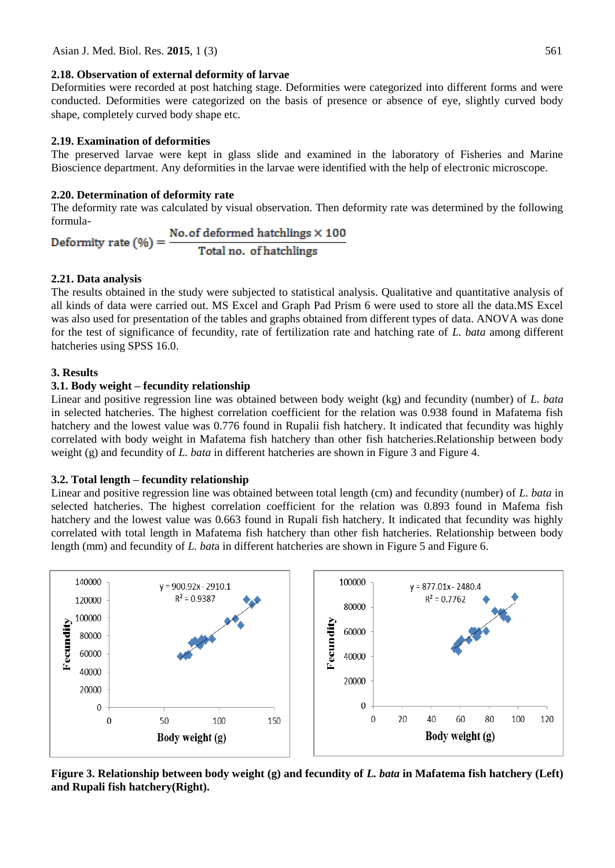#### **2.18. Observation of external deformity of larvae**

Deformities were recorded at post hatching stage. Deformities were categorized into different forms and were conducted. Deformities were categorized on the basis of presence or absence of eye, slightly curved body shape, completely curved body shape etc.

#### **2.19. Examination of deformities**

The preserved larvae were kept in glass slide and examined in the laboratory of Fisheries and Marine Bioscience department. Any deformities in the larvae were identified with the help of electronic microscope.

#### **2.20. Determination of deformity rate**

The deformity rate was calculated by visual observation. Then deformity rate was determined by the following formula-

 $\frac{\text{No. of deformed hatchlings} \times 100}{\text{Total no. of hatchlings}}$ Deformity rate  $(\% )$  =

#### **2.21. Data analysis**

The results obtained in the study were subjected to statistical analysis. Qualitative and quantitative analysis of all kinds of data were carried out. MS Excel and Graph Pad Prism 6 were used to store all the data.MS Excel was also used for presentation of the tables and graphs obtained from different types of data. ANOVA was done for the test of significance of fecundity, rate of fertilization rate and hatching rate of *L. bata* among different hatcheries using SPSS 16.0.

#### **3. Results**

### **3.1. Body weight – fecundity relationship**

Linear and positive regression line was obtained between body weight (kg) and fecundity (number) of *L. bata* in selected hatcheries. The highest correlation coefficient for the relation was 0.938 found in Mafatema fish hatchery and the lowest value was 0.776 found in Rupalii fish hatchery. It indicated that fecundity was highly correlated with body weight in Mafatema fish hatchery than other fish hatcheries.Relationship between body weight (g) and fecundity of *L. bata* in different hatcheries are shown in Figure 3 and Figure 4.

#### **3.2. Total length – fecundity relationship**

Linear and positive regression line was obtained between total length (cm) and fecundity (number) of *L. bata* in selected hatcheries. The highest correlation coefficient for the relation was 0.893 found in Mafema fish hatchery and the lowest value was 0.663 found in Rupali fish hatchery. It indicated that fecundity was highly correlated with total length in Mafatema fish hatchery than other fish hatcheries. Relationship between body length (mm) and fecundity of *L. bat*a in different hatcheries are shown in Figure 5 and Figure 6.



**Figure 3. Relationship between body weight (g) and fecundity of** *L. bata* **in Mafatema fish hatchery (Left) and Rupali fish hatchery(Right).**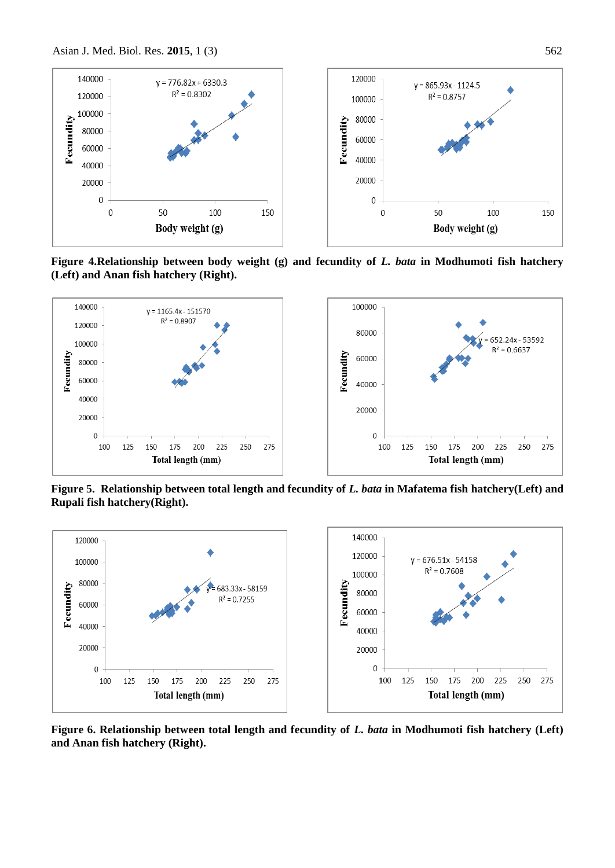

**Figure 4.Relationship between body weight (g) and fecundity of** *L. bata* **in Modhumoti fish hatchery (Left) and Anan fish hatchery (Right).**



**Figure 5. Relationship between total length and fecundity of** *L. bata* **in Mafatema fish hatchery(Left) and Rupali fish hatchery(Right).**



**Figure 6. Relationship between total length and fecundity of** *L. bata* **in Modhumoti fish hatchery (Left) and Anan fish hatchery (Right).**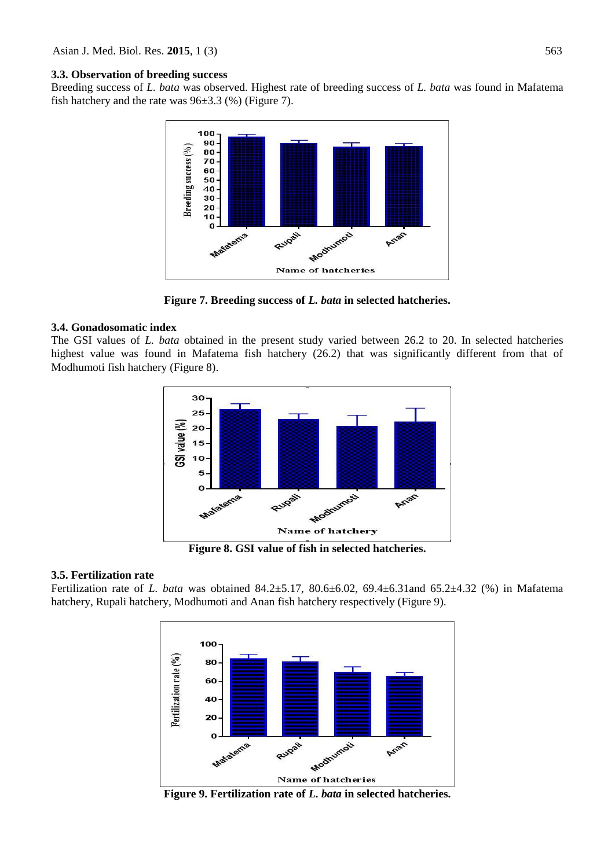#### **3.3. Observation of breeding success**

Breeding success of *L. bata* was observed. Highest rate of breeding success of *L. bata* was found in Mafatema fish hatchery and the rate was  $96\pm3.3$  (%) (Figure 7).



**Figure 7. Breeding success of** *L. bata* **in selected hatcheries.**

#### **3.4. Gonadosomatic index**

The GSI values of *L. bata* obtained in the present study varied between 26.2 to 20. In selected hatcheries highest value was found in Mafatema fish hatchery (26.2) that was significantly different from that of Modhumoti fish hatchery (Figure 8).



**Figure 8. GSI value of fish in selected hatcheries.**

#### **3.5. Fertilization rate**

Fertilization rate of *L. bata* was obtained 84.2±5.17, 80.6±6.02, 69.4±6.31and 65.2±4.32 (%) in Mafatema hatchery, Rupali hatchery, Modhumoti and Anan fish hatchery respectively (Figure 9).



**Figure 9. Fertilization rate of** *L. bata* **in selected hatcheries.**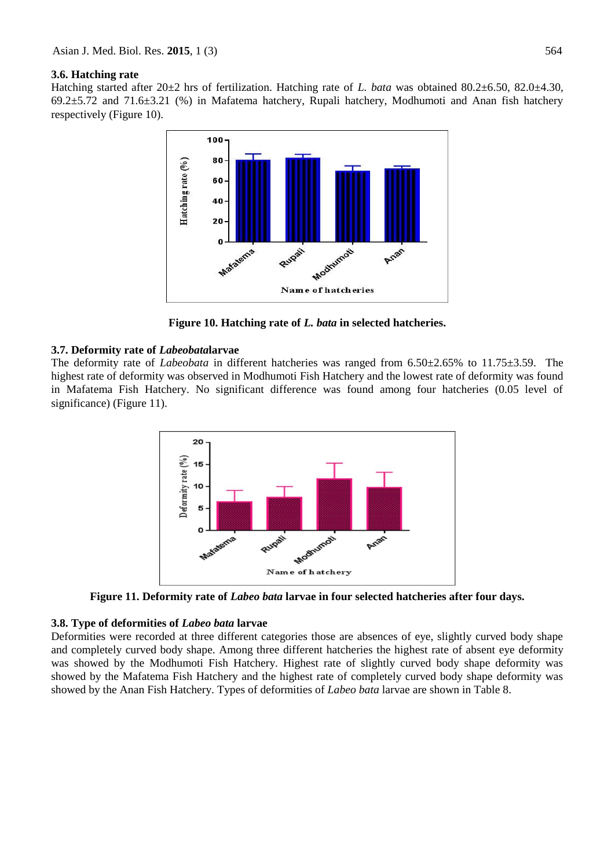#### **3.6. Hatching rate**

Hatching started after 20±2 hrs of fertilization. Hatching rate of *L. bata* was obtained 80.2±6.50, 82.0±4.30, 69.2±5.72 and 71.6±3.21 (%) in Mafatema hatchery, Rupali hatchery, Modhumoti and Anan fish hatchery respectively (Figure 10).



**Figure 10. Hatching rate of** *L. bata* **in selected hatcheries.**

#### **3.7. Deformity rate of** *Labeobata***larvae**

The deformity rate of *Labeobata* in different hatcheries was ranged from 6.50±2.65% to 11.75±3.59. The highest rate of deformity was observed in Modhumoti Fish Hatchery and the lowest rate of deformity was found in Mafatema Fish Hatchery. No significant difference was found among four hatcheries (0.05 level of significance) (Figure 11).



**Figure 11. Deformity rate of** *Labeo bata* **larvae in four selected hatcheries after four days.**

### **3.8. Type of deformities of** *Labeo bata* **larvae**

Deformities were recorded at three different categories those are absences of eye, slightly curved body shape and completely curved body shape. Among three different hatcheries the highest rate of absent eye deformity was showed by the Modhumoti Fish Hatchery. Highest rate of slightly curved body shape deformity was showed by the Mafatema Fish Hatchery and the highest rate of completely curved body shape deformity was showed by the Anan Fish Hatchery. Types of deformities of *Labeo bata* larvae are shown in Table 8.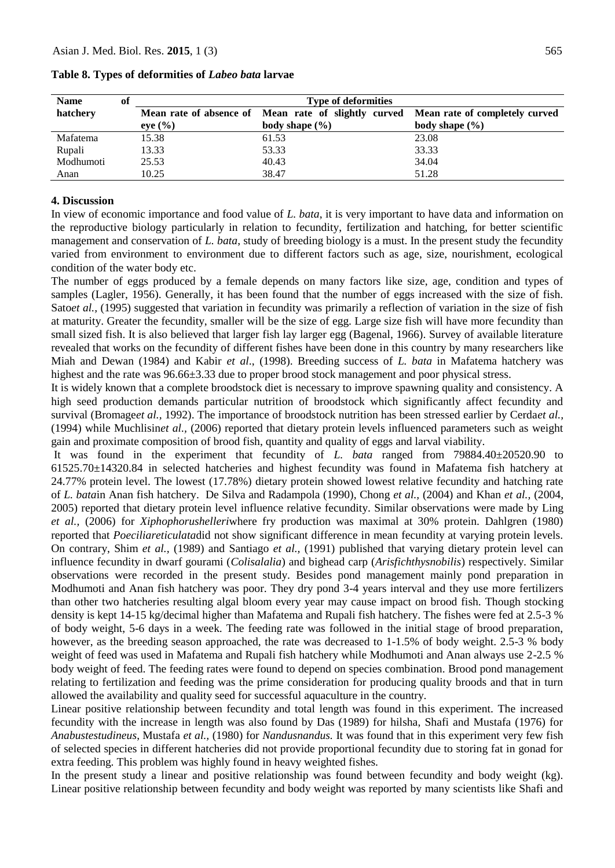| <b>Name</b> | of | <b>Type of deformities</b> |                                                                                     |                    |  |  |  |
|-------------|----|----------------------------|-------------------------------------------------------------------------------------|--------------------|--|--|--|
| hatchery    |    |                            | Mean rate of absence of Mean rate of slightly curved Mean rate of completely curved |                    |  |  |  |
|             |    | eye(%)                     | body shape $(\% )$                                                                  | body shape $(\% )$ |  |  |  |
| Mafatema    |    | 15.38                      | 61.53                                                                               | 23.08              |  |  |  |
| Rupali      |    | 13.33                      | 53.33                                                                               | 33.33              |  |  |  |
| Modhumoti   |    | 25.53                      | 40.43                                                                               | 34.04              |  |  |  |
| Anan        |    | 10.25                      | 38.47                                                                               | 51.28              |  |  |  |

**Table 8. Types of deformities of** *Labeo bata* **larvae**

#### **4. Discussion**

In view of economic importance and food value of *L. bata*, it is very important to have data and information on the reproductive biology particularly in relation to fecundity, fertilization and hatching, for better scientific management and conservation of *L. bata*, study of breeding biology is a must. In the present study the fecundity varied from environment to environment due to different factors such as age, size, nourishment, ecological condition of the water body etc.

The number of eggs produced by a female depends on many factors like size, age, condition and types of samples (Lagler, 1956). Generally, it has been found that the number of eggs increased with the size of fish. Satoet al., (1995) suggested that variation in fecundity was primarily a reflection of variation in the size of fish at maturity. Greater the fecundity, smaller will be the size of egg. Large size fish will have more fecundity than small sized fish. It is also believed that larger fish lay larger egg (Bagenal, 1966). Survey of available literature revealed that works on the fecundity of different fishes have been done in this country by many researchers like Miah and Dewan (1984) and Kabir *et al*., (1998). Breeding success of *L. bata* in Mafatema hatchery was highest and the rate was  $96.66\pm3.33$  due to proper brood stock management and poor physical stress.

It is widely known that a complete broodstock diet is necessary to improve spawning quality and consistency. A high seed production demands particular nutrition of broodstock which significantly affect fecundity and survival (Bromage*et al.,* 1992). The importance of broodstock nutrition has been stressed earlier by Cerda*et al.,*  (1994) while Muchlisin*et al.,* (2006) reported that dietary protein levels influenced parameters such as weight gain and proximate composition of brood fish, quantity and quality of eggs and larval viability.

It was found in the experiment that fecundity of *L. bata* ranged from 79884.40±20520.90 to 61525.70±14320.84 in selected hatcheries and highest fecundity was found in Mafatema fish hatchery at 24.77% protein level. The lowest (17.78%) dietary protein showed lowest relative fecundity and hatching rate of *L. bata*in Anan fish hatchery. De Silva and Radampola (1990), Chong *et al.,* (2004) and Khan *et al.,* (2004, 2005) reported that dietary protein level influence relative fecundity. Similar observations were made by Ling *et al.,* (2006) for *Xiphophorushelleri*where fry production was maximal at 30% protein. Dahlgren (1980) reported that *Poeciliareticulata*did not show significant difference in mean fecundity at varying protein levels. On contrary, Shim *et al.,* (1989) and Santiago *et al.,* (1991) published that varying dietary protein level can influence fecundity in dwarf gourami (*Colisalalia*) and bighead carp (*Arisfichthysnobilis*) respectively. Similar observations were recorded in the present study. Besides pond management mainly pond preparation in Modhumoti and Anan fish hatchery was poor. They dry pond 3-4 years interval and they use more fertilizers than other two hatcheries resulting algal bloom every year may cause impact on brood fish. Though stocking density is kept 14-15 kg/decimal higher than Mafatema and Rupali fish hatchery. The fishes were fed at 2.5-3 % of body weight, 5-6 days in a week. The feeding rate was followed in the initial stage of brood preparation, however, as the breeding season approached, the rate was decreased to 1-1.5% of body weight. 2.5-3 % body weight of feed was used in Mafatema and Rupali fish hatchery while Modhumoti and Anan always use 2-2.5 % body weight of feed. The feeding rates were found to depend on species combination. Brood pond management relating to fertilization and feeding was the prime consideration for producing quality broods and that in turn allowed the availability and quality seed for successful aquaculture in the country.

Linear positive relationship between fecundity and total length was found in this experiment. The increased fecundity with the increase in length was also found by Das (1989) for hilsha, Shafi and Mustafa (1976) for *Anabustestudineus*, Mustafa *et al.,* (1980) for *Nandusnandus.* It was found that in this experiment very few fish of selected species in different hatcheries did not provide proportional fecundity due to storing fat in gonad for extra feeding. This problem was highly found in heavy weighted fishes.

In the present study a linear and positive relationship was found between fecundity and body weight (kg). Linear positive relationship between fecundity and body weight was reported by many scientists like Shafi and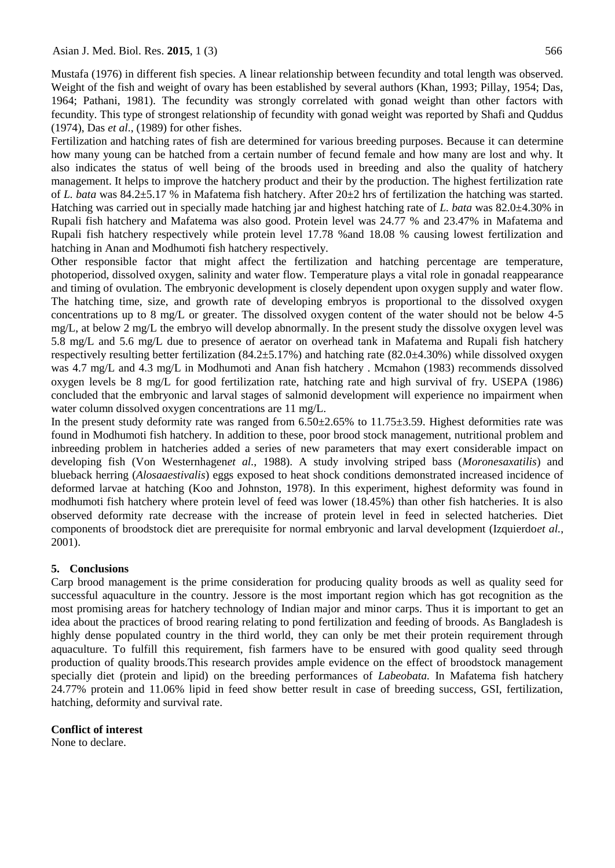Mustafa (1976) in different fish species. A linear relationship between fecundity and total length was observed. Weight of the fish and weight of ovary has been established by several authors (Khan, 1993; Pillay, 1954; Das, 1964; Pathani, 1981). The fecundity was strongly correlated with gonad weight than other factors with fecundity. This type of strongest relationship of fecundity with gonad weight was reported by Shafi and Quddus (1974), Das *et al*., (1989) for other fishes.

Fertilization and hatching rates of fish are determined for various breeding purposes. Because it can determine how many young can be hatched from a certain number of fecund female and how many are lost and why. It also indicates the status of well being of the broods used in breeding and also the quality of hatchery management. It helps to improve the hatchery product and their by the production. The highest fertilization rate of *L. bata* was 84.2±5.17 % in Mafatema fish hatchery. After 20±2 hrs of fertilization the hatching was started. Hatching was carried out in specially made hatching jar and highest hatching rate of *L. bata* was 82.0±4.30% in Rupali fish hatchery and Mafatema was also good. Protein level was 24.77 % and 23.47% in Mafatema and Rupali fish hatchery respectively while protein level 17.78 %and 18.08 % causing lowest fertilization and hatching in Anan and Modhumoti fish hatchery respectively.

Other responsible factor that might affect the fertilization and hatching percentage are temperature, photoperiod, dissolved oxygen, salinity and water flow. Temperature plays a vital role in gonadal reappearance and timing of ovulation. The embryonic development is closely dependent upon oxygen supply and water flow. The hatching time, size, and growth rate of developing embryos is proportional to the dissolved oxygen concentrations up to 8 mg/L or greater. The dissolved oxygen content of the water should not be below 4-5 mg/L, at below 2 mg/L the embryo will develop abnormally. In the present study the dissolve oxygen level was 5.8 mg/L and 5.6 mg/L due to presence of aerator on overhead tank in Mafatema and Rupali fish hatchery respectively resulting better fertilization (84.2±5.17%) and hatching rate (82.0±4.30%) while dissolved oxygen was 4.7 mg/L and 4.3 mg/L in Modhumoti and Anan fish hatchery . Mcmahon (1983) recommends dissolved oxygen levels be 8 mg/L for good fertilization rate, hatching rate and high survival of fry. USEPA (1986) concluded that the embryonic and larval stages of salmonid development will experience no impairment when water column dissolved oxygen concentrations are 11 mg/L.

In the present study deformity rate was ranged from 6.50±2.65% to 11.75±3.59. Highest deformities rate was found in Modhumoti fish hatchery. In addition to these, poor brood stock management, nutritional problem and inbreeding problem in hatcheries added a series of new parameters that may exert considerable impact on developing fish (Von Westernhagen*et al.*, 1988). A study involving striped bass (*Moronesaxatilis*) and blueback herring (*Alosaaestivalis*) eggs exposed to heat shock conditions demonstrated increased incidence of deformed larvae at hatching (Koo and Johnston, 1978). In this experiment, highest deformity was found in modhumoti fish hatchery where protein level of feed was lower (18.45%) than other fish hatcheries. It is also observed deformity rate decrease with the increase of protein level in feed in selected hatcheries. Diet components of broodstock diet are prerequisite for normal embryonic and larval development (Izquierdo*et al.*, 2001).

### **5. Conclusions**

Carp brood management is the prime consideration for producing quality broods as well as quality seed for successful aquaculture in the country. Jessore is the most important region which has got recognition as the most promising areas for hatchery technology of Indian major and minor carps. Thus it is important to get an idea about the practices of brood rearing relating to pond fertilization and feeding of broods. As Bangladesh is highly dense populated country in the third world, they can only be met their protein requirement through aquaculture. To fulfill this requirement, fish farmers have to be ensured with good quality seed through production of quality broods.This research provides ample evidence on the effect of broodstock management specially diet (protein and lipid) on the breeding performances of *Labeobata.* In Mafatema fish hatchery 24.77% protein and 11.06% lipid in feed show better result in case of breeding success, GSI, fertilization, hatching, deformity and survival rate.

### **Conflict of interest**

None to declare.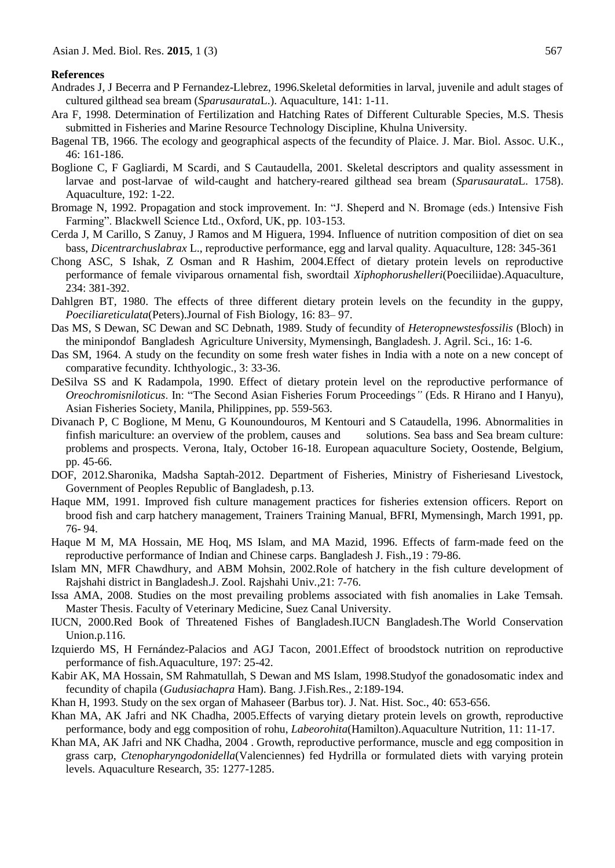#### **References**

- Andrades J, J Becerra and P Fernandez-Llebrez, 1996.Skeletal deformities in larval, juvenile and adult stages of cultured gilthead sea bream (*Sparusaurata*L.). Aquaculture, 141: 1-11.
- Ara F, 1998. Determination of Fertilization and Hatching Rates of Different Culturable Species, M.S. Thesis submitted in Fisheries and Marine Resource Technology Discipline, Khulna University.
- Bagenal TB, 1966. The ecology and geographical aspects of the fecundity of Plaice. J. Mar. Biol. Assoc. U.K*.,* 46: 161-186.
- Boglione C, F Gagliardi, M Scardi, and S Cautaudella, 2001. Skeletal descriptors and quality assessment in larvae and post-larvae of wild-caught and hatchery-reared gilthead sea bream (*Sparusaurata*L. 1758). Aquaculture, 192: 1-22.
- Bromage N, 1992. Propagation and stock improvement. In: "J. Sheperd and N. Bromage (eds.) Intensive Fish Farming". Blackwell Science Ltd., Oxford, UK, pp. 103-153.
- Cerda J, M Carillo, S Zanuy, J Ramos and M Higuera, 1994. Influence of nutrition composition of diet on sea bass, *Dicentrarchuslabrax* L., reproductive performance, egg and larval quality. Aquaculture, 128: 345-361
- Chong ASC, S Ishak, Z Osman and R Hashim, 2004.Effect of dietary protein levels on reproductive performance of female viviparous ornamental fish, swordtail *Xiphophorushelleri*(Poeciliidae).Aquaculture*,* 234: 381-392.
- Dahlgren BT, 1980. The effects of three different dietary protein levels on the fecundity in the guppy, *Poeciliareticulata*(Peters).Journal of Fish Biology, 16: 83– 97.
- Das MS, S Dewan, SC Dewan and SC Debnath, 1989. Study of fecundity of *Heteropnewstesfossilis* (Bloch) in the minipondof Bangladesh Agriculture University, Mymensingh, Bangladesh. J. Agril. Sci., 16: 1-6.
- Das SM, 1964. A study on the fecundity on some fresh water fishes in India with a note on a new concept of comparative fecundity. Ichthyologic., 3: 33-36.
- DeSilva SS and K Radampola, 1990. Effect of dietary protein level on the reproductive performance of *Oreochromisniloticus*. In: "The Second Asian Fisheries Forum Proceedings*"* (Eds. R Hirano and I Hanyu), Asian Fisheries Society, Manila, Philippines, pp. 559-563.
- Divanach P, C Boglione, M Menu, G Kounoundouros, M Kentouri and S Cataudella, 1996. Abnormalities in finfish mariculture: an overview of the problem, causes and solutions. Sea bass and Sea bream culture: problems and prospects. Verona, Italy, October 16-18. European aquaculture Society, Oostende, Belgium, pp. 45-66.
- DOF, 2012.Sharonika, Madsha Saptah-2012. Department of Fisheries, Ministry of Fisheriesand Livestock, Government of Peoples Republic of Bangladesh, p.13.
- Haque MM, 1991. Improved fish culture management practices for fisheries extension officers. Report on brood fish and carp hatchery management, Trainers Training Manual, BFRI, Mymensingh, March 1991, pp. 76- 94.
- Haque M M, MA Hossain, ME Hoq, MS Islam, and MA Mazid, 1996. Effects of farm-made feed on the reproductive performance of Indian and Chinese carps. Bangladesh J. Fish.,19 : 79-86.
- Islam MN, MFR Chawdhury, and ABM Mohsin, 2002.Role of hatchery in the fish culture development of Rajshahi district in Bangladesh.J. Zool. Rajshahi Univ*.,*21: 7-76.
- Issa AMA, 2008. Studies on the most prevailing problems associated with fish anomalies in Lake Temsah. Master Thesis. Faculty of Veterinary Medicine, Suez Canal University.
- IUCN, 2000.Red Book of Threatened Fishes of Bangladesh.IUCN Bangladesh.The World Conservation Union.p.116.
- Izquierdo MS, H Fernández-Palacios and AGJ Tacon, 2001.Effect of broodstock nutrition on reproductive performance of fish.Aquaculture*,* 197: 25-42.
- Kabir AK, MA Hossain, SM Rahmatullah, S Dewan and MS Islam, 1998.Studyof the gonadosomatic index and fecundity of chapila (*Gudusiachapra* Ham). Bang. J.Fish.Res., 2:189-194.
- Khan H, 1993. Study on the sex organ of Mahaseer (Barbus tor). J. Nat. Hist. Soc., 40: 653-656.
- Khan MA, AK Jafri and NK Chadha, 2005.Effects of varying dietary protein levels on growth, reproductive performance, body and egg composition of rohu, *Labeorohita*(Hamilton).Aquaculture Nutrition, 11: 11-17.
- Khan MA, AK Jafri and NK Chadha, 2004 . Growth, reproductive performance, muscle and egg composition in grass carp, *Ctenopharyngodonidella*(Valenciennes) fed Hydrilla or formulated diets with varying protein levels. Aquaculture Research, 35: 1277-1285.